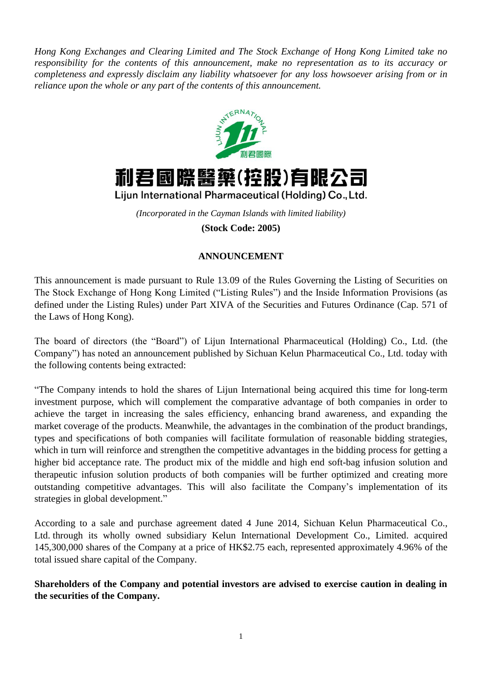*Hong Kong Exchanges and Clearing Limited and The Stock Exchange of Hong Kong Limited take no responsibility for the contents of this announcement, make no representation as to its accuracy or completeness and expressly disclaim any liability whatsoever for any loss howsoever arising from or in reliance upon the whole or any part of the contents of this announcement.*





Lijun International Pharmaceutical (Holding) Co., Ltd.

*(Incorporated in the Cayman Islands with limited liability)* **(Stock Code: 2005)**

## **ANNOUNCEMENT**

This announcement is made pursuant to Rule 13.09 of the Rules Governing the Listing of Securities on The Stock Exchange of Hong Kong Limited ("Listing Rules") and the Inside Information Provisions (as defined under the Listing Rules) under Part XIVA of the Securities and Futures Ordinance (Cap. 571 of the Laws of Hong Kong).

The board of directors (the "Board") of Lijun International Pharmaceutical (Holding) Co., Ltd. (the Company") has noted an announcement published by Sichuan Kelun Pharmaceutical Co., Ltd. today with the following contents being extracted:

"The Company intends to hold the shares of Lijun International being acquired this time for long-term investment purpose, which will complement the comparative advantage of both companies in order to achieve the target in increasing the sales efficiency, enhancing brand awareness, and expanding the market coverage of the products. Meanwhile, the advantages in the combination of the product brandings, types and specifications of both companies will facilitate formulation of reasonable bidding strategies, which in turn will reinforce and strengthen the competitive advantages in the bidding process for getting a higher bid acceptance rate. The product mix of the middle and high end soft-bag infusion solution and therapeutic infusion solution products of both companies will be further optimized and creating more outstanding competitive advantages. This will also facilitate the Company's implementation of its strategies in global development."

According to a sale and purchase agreement dated 4 June 2014, Sichuan Kelun Pharmaceutical Co., Ltd. through its wholly owned subsidiary Kelun International Development Co., Limited. acquired 145,300,000 shares of the Company at a price of HK\$2.75 each, represented approximately 4.96% of the total issued share capital of the Company.

**Shareholders of the Company and potential investors are advised to exercise caution in dealing in the securities of the Company.**